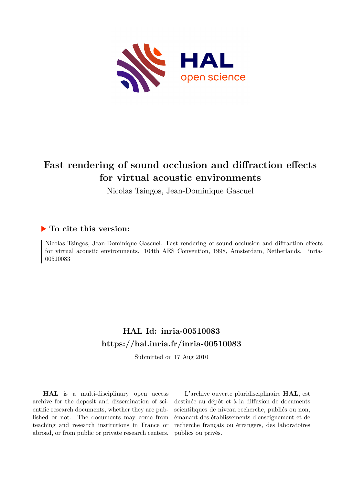

# **Fast rendering of sound occlusion and diffraction effects for virtual acoustic environments**

Nicolas Tsingos, Jean-Dominique Gascuel

# **To cite this version:**

Nicolas Tsingos, Jean-Dominique Gascuel. Fast rendering of sound occlusion and diffraction effects for virtual acoustic environments. 104th AES Convention, 1998, Amsterdam, Netherlands. inria-00510083

# **HAL Id: inria-00510083 <https://hal.inria.fr/inria-00510083>**

Submitted on 17 Aug 2010

**HAL** is a multi-disciplinary open access archive for the deposit and dissemination of scientific research documents, whether they are published or not. The documents may come from teaching and research institutions in France or abroad, or from public or private research centers.

L'archive ouverte pluridisciplinaire **HAL**, est destinée au dépôt et à la diffusion de documents scientifiques de niveau recherche, publiés ou non, émanant des établissements d'enseignement et de recherche français ou étrangers, des laboratoires publics ou privés.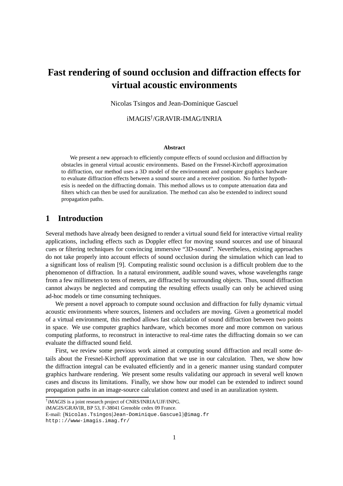# **Fast rendering of sound occlusion and diffraction effects for virtual acoustic environments**

Nicolas Tsingos and Jean-Dominique Gascuel

### iMAGIS†/GRAVIR-IMAG/INRIA

#### **Abstract**

We present a new approach to efficiently compute effects of sound occlusion and diffraction by obstacles in general virtual acoustic environments. Based on the Fresnel-Kirchoff approximation to diffraction, our method uses a 3D model of the environment and computer graphics hardware to evaluate diffraction effects between a sound source and a receiver position. No further hypothesis is needed on the diffracting domain. This method allows us to compute attenuation data and filters which can then be used for auralization. The method can also be extended to indirect sound propagation paths.

# **1 Introduction**

Several methods have already been designed to render a virtual sound field for interactive virtual reality applications, including effects such as Doppler effect for moving sound sources and use of binaural cues or filtering techniques for convincing immersive "3D-sound". Nevertheless, existing approaches do not take properly into account effects of sound occlusion during the simulation which can lead to a significant loss of realism [9]. Computing realistic sound occlusion is a difficult problem due to the phenomenon of diffraction. In a natural environment, audible sound waves, whose wavelengths range from a few millimeters to tens of meters, are diffracted by surrounding objects. Thus, sound diffraction cannot always be neglected and computing the resulting effects usually can only be achieved using ad-hoc models or time consuming techniques.

We present a novel approach to compute sound occlusion and diffraction for fully dynamic virtual acoustic environments where sources, listeners and occluders are moving. Given a geometrical model of a virtual environment, this method allows fast calculation of sound diffraction between two points in space. We use computer graphics hardware, which becomes more and more common on various computing platforms, to reconstruct in interactive to real-time rates the diffracting domain so we can evaluate the diffracted sound field.

First, we review some previous work aimed at computing sound diffraction and recall some details about the Fresnel-Kirchoff approximation that we use in our calculation. Then, we show how the diffraction integral can be evaluated efficiently and in a generic manner using standard computer graphics hardware rendering. We present some results validating our approach in several well known cases and discuss its limitations. Finally, we show how our model can be extended to indirect sound propagation paths in an image-source calculation context and used in an auralization system.

<sup>&</sup>lt;sup>†</sup>iMAGIS is a joint research project of CNRS/INRIA/UJF/INPG.

iMAGIS/GRAVIR, BP 53, F-38041 Grenoble cedex 09 France.

E-mail: {Nicolas.Tsingos|Jean-Dominique.Gascuel}@imag.fr

http:://www-imagis.imag.fr/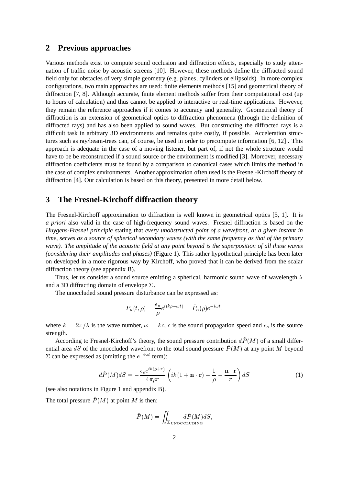# **2 Previous approaches**

Various methods exist to compute sound occlusion and diffraction effects, especially to study attenuation of traffic noise by acoustic screens [10]. However, these methods define the diffracted sound field only for obstacles of very simple geometry (e.g. planes, cylinders or ellipsoids). In more complex configurations, two main approaches are used: finite elements methods [15] and geometrical theory of diffraction [7, 8]. Although accurate, finite element methods suffer from their computational cost (up to hours of calculation) and thus cannot be applied to interactive or real-time applications. However, they remain the reference approaches if it comes to accuracy and generality. Geometrical theory of diffraction is an extension of geometrical optics to diffraction phenomena (through the definition of diffracted rays) and has also been applied to sound waves. But constructing the diffracted rays is a difficult task in arbitrary 3D environments and remains quite costly, if possible. Acceleration structures such as ray/beam-trees can, of course, be used in order to precompute information [6, 12] . This approach is adequate in the case of a moving listener, but part of, if not the whole structure would have to be be reconstructed if a sound source or the environment is modified [3]. Moreover, necessary diffraction coefficients must be found by a comparison to canonical cases which limits the method in the case of complex environments. Another approximation often used is the Fresnel-Kirchoff theory of diffraction [4]. Our calculation is based on this theory, presented in more detail below.

# **3 The Fresnel-Kirchoff diffraction theory**

The Fresnel-Kirchoff approximation to diffraction is well known in geometrical optics [5, 1]. It is *a priori* also valid in the case of high-frequency sound waves. Fresnel diffraction is based on the *Huygens-Fresnel principle* stating that *every unobstructed point of a wavefront, at a given instant in time, serves as a source of spherical secondary waves (with the same frequency as that of the primary wave). The amplitude of the acoustic field at any point beyond is the superposition of all these waves (considering their amplitudes and phases)* (Figure 1). This rather hypothetical principle has been later on developed in a more rigorous way by Kirchoff, who proved that it can be derived from the scalar diffraction theory (see appendix B).

Thus, let us consider a sound source emitting a spherical, harmonic sound wave of wavelength  $\lambda$ and a 3D diffracting domain of envelope  $\Sigma$ .

The unoccluded sound pressure disturbance can be expressed as:

$$
P_u(t,\rho) = \frac{\epsilon_o}{\rho} e^{i(k\rho - \omega t)} = \hat{P}_u(\rho) e^{-i\omega t},
$$

where  $k = 2\pi/\lambda$  is the wave number,  $\omega = kc$ , c is the sound propagation speed and  $\epsilon_o$  is the source strength.

According to Fresnel-Kirchoff's theory, the sound pressure contribution  $dP(M)$  of a small differential area dS of the unoccluded wavefront to the total sound pressure  $P(M)$  at any point M beyond  $\Sigma$  can be expressed as (omitting the  $e^{-i\omega t}$  term):

$$
d\hat{P}(M)dS = -\frac{\epsilon_0 e^{ik(\rho+r)}}{4\pi\rho r} \left(ik(1+\mathbf{n}\cdot\mathbf{r}) - \frac{1}{\rho} - \frac{\mathbf{n}\cdot\mathbf{r}}{r}\right)dS
$$
 (1)

(see also notations in Figure 1 and appendix B).

The total pressure  $P(M)$  at point M is then:

$$
\hat{P}(M) = \iint_{\Sigma_{\text{UNOCCLUDING}}} d\hat{P}(M) dS,
$$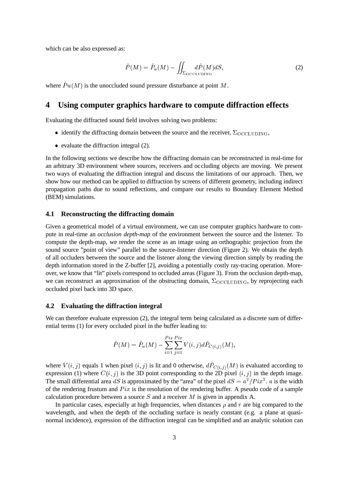which can be also expressed as:

$$
\hat{P}(M) = \hat{P}_u(M) - \iint_{\Sigma_{\text{OCCLUDING}}} d\hat{P}(M) dS,
$$
\n(2)

where  $Pu(M)$  is the unoccluded sound pressure disturbance at point M.

## **4 Using computer graphics hardware to compute diffraction effects**

Evaluating the diffracted sound field involves solving two problems:

- identify the diffracting domain between the source and the receiver,  $\Sigma_{\text{OCCLUDING}}$ ,
- $\bullet$  evaluate the diffraction integral (2).

In the following sections we describe how the diffracting domain can be reconstructed in real-time for an arbitrary 3D environment where sources, receivers and occluding objects are moving. We present two ways of evaluating the diffraction integral and discuss the limitations of our approach. Then, we show how our method can be applied to diffraction by screens of different geometry, including indirect propagation paths due to sound reflections, and compare our results to Boundary Element Method (BEM) simulations.

## **4.1 Reconstructing the diffracting domain**

Given a geometrical model of a virtual environment, we can use computer graphics hardware to compute in real-time an *occlusion depth-map* of the environment between the source and the listener. To compute the depth-map, we render the scene as an image using an orthographic projection from the sound source "point of view" parallel to the source-listener direction (Figure 2). We obtain the depth of all occluders between the source and the listener along the viewing direction simply by reading the depth information stored in the Z-buffer [2], avoiding a potentially costly ray-tracing operation. Moreover, we know that "lit" pixels correspond to occluded areas (Figure 3). From the occlusion depth-map, we can reconstruct an approximation of the obstructing domain,  $\Sigma_{\text{OCCLUDING}}$ , by reprojecting each occluded pixel back into 3D space.

### **4.2 Evaluating the diffraction integral**

We can therefore evaluate expression (2), the integral term being calculated as a discrete sum of differential terms (1) for every occluded pixel in the buffer leading to:

$$
\hat{P}(M) = \hat{P}_u(M) - \sum_{i=1}^{Pix} \sum_{j=1}^{Pix} V(i,j) d\hat{P}_{C(i,j)}(M),
$$

where  $V(i, j)$  equals 1 when pixel  $(i, j)$  is lit and 0 otherwise,  $dP_{C(i,j)}(M)$  is evaluated according to expression (1) where  $C(i, j)$  is the 3D point corresponding to the 2D pixel  $(i, j)$  in the depth image. The small differential area dS is approximated by the "area" of the pixel  $dS = a^2 / Pix^2$ . a is the width of the rendering frustum and  $Pix$  is the resolution of the rendering buffer. A pseudo code of a sample calculation procedure between a source S and a receiver M is given in appendix A.

In particular cases, especially at high frequencies, when distances  $\rho$  and r are big compared to the wavelength, and when the depth of the occluding surface is nearly constant (e.g. a plane at quasinormal incidence), expression of the diffraction integral can be simplified and an analytic solution can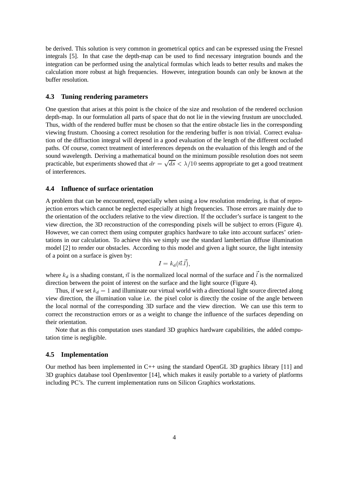be derived. This solution is very common in geometrical optics and can be expressed using the Fresnel integrals [5]. In that case the depth-map can be used to find necessary integration bounds and the integration can be performed using the analytical formulas which leads to better results and makes the calculation more robust at high frequencies. However, integration bounds can only be known at the buffer resolution.

#### **4.3 Tuning rendering parameters**

One question that arises at this point is the choice of the size and resolution of the rendered occlusion depth-map. In our formulation all parts of space that do not lie in the viewing frustum are unoccluded. Thus, width of the rendered buffer must be chosen so that the entire obstacle lies in the corresponding viewing frustum. Choosing a correct resolution for the rendering buffer is non trivial. Correct evaluation of the diffraction integral will depend in a good evaluation of the length of the different occluded paths. Of course, correct treatment of interferences depends on the evaluation of this length and of the sound wavelength. Deriving a mathematical bound on the minimum possible resolution does not seem practicable, but experiments showed that  $dr = \sqrt{ds} < \lambda/10$  seems appropriate to get a good treatment of interferences.

## **4.4 Influence of surface orientation**

A problem that can be encountered, especially when using a low resolution rendering, is that of reprojection errors which cannot be neglected especially at high frequencies. Those errors are mainly due to the orientation of the occluders relative to the view direction. If the occluder's surface is tangent to the view direction, the 3D reconstruction of the corresponding pixels will be subject to errors (Figure 4). However, we can correct them using computer graphics hardware to take into account surfaces' orientations in our calculation. To achieve this we simply use the standard lambertian diffuse illumination model [2] to render our obstacles. According to this model and given a light source, the light intensity of a point on a surface is given by:

$$
I = k_d(\vec{n}.\vec{l}),
$$

where  $k_d$  is a shading constant,  $\vec{n}$  is the normalized local normal of the surface and l is the normalized direction between the point of interest on the surface and the light source (Figure 4).

Thus, if we set  $k_d = 1$  and illuminate our virtual world with a directional light source directed along view direction, the illumination value i.e. the pixel color is directly the cosine of the angle between the local normal of the corresponding 3D surface and the view direction. We can use this term to correct the reconstruction errors or as a weight to change the influence of the surfaces depending on their orientation.

Note that as this computation uses standard 3D graphics hardware capabilities, the added computation time is negligible.

#### **4.5 Implementation**

Our method has been implemented in C++ using the standard OpenGL 3D graphics library [11] and 3D graphics database tool OpenInventor [14], which makes it easily portable to a variety of platforms including PC's. The current implementation runs on Silicon Graphics workstations.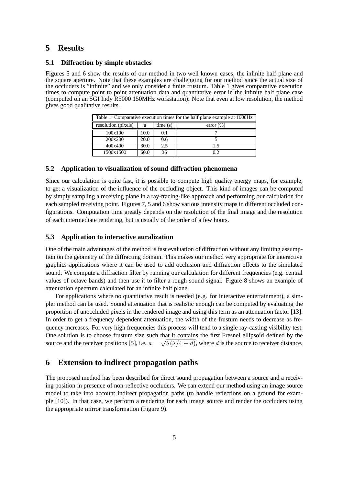## **5 Results**

#### **5.1 Diffraction by simple obstacles**

Figures 5 and 6 show the results of our method in two well known cases, the infinite half plane and the square aperture. Note that these examples are challenging for our method since the actual size of the occluders is "infinite" and we only consider a finite frustum. Table 1 gives comparative execution times to compute point to point attenuation data and quantitative error in the infinite half plane case (computed on an SGI Indy R5000 150MHz workstation). Note that even at low resolution, the method gives good qualitative results.

| Table 1: Comparative execution times for the half plane example at 1000Hz |      |         |          |  |  |  |
|---------------------------------------------------------------------------|------|---------|----------|--|--|--|
| resolution (pixels)                                                       | a    | time(s) | error(%) |  |  |  |
| 100x100                                                                   | 10.0 | 0.1     |          |  |  |  |
| 200x200                                                                   | 20.0 | 0.6     |          |  |  |  |
| 400x400                                                                   | 30.0 | 2.5     | 1.5      |  |  |  |
| 1500x1500                                                                 | 60.0 | 36      | 0.2      |  |  |  |

### **5.2 Application to visualization of sound diffraction phenomena**

Since our calculation is quite fast, it is possible to compute high quality energy maps, for example, to get a visualization of the influence of the occluding object. This kind of images can be computed by simply sampling a receiving plane in a ray-tracing-like approach and performing our calculation for each sampled receiving point. Figures 7, 5 and 6 show various intensity maps in different occluded configurations. Computation time greatly depends on the resolution of the final image and the resolution of each intermediate rendering, but is usually of the order of a few hours.

## **5.3 Application to interactive auralization**

One of the main advantages of the method is fast evaluation of diffraction without any limiting assumption on the geometry of the diffracting domain. This makes our method very appropriate for interactive graphics applications where it can be used to add occlusion and diffraction effects to the simulated sound. We compute a diffraction filter by running our calculation for different frequencies (e.g. central values of octave bands) and then use it to filter a rough sound signal. Figure 8 shows an example of attenuation spectrum calculated for an infinite half plane.

For applications where no quantitative result is needed (e.g. for interactive entertainment), a simpler method can be used. Sound attenuation that is realistic enough can be computed by evaluating the proportion of unoccluded pixels in the rendered image and using this term as an attenuation factor [13]. In order to get a frequency dependent attenuation, the width of the frustum needs to decrease as frequency increases. For very high frequencies this process will tend to a single ray-casting visibility test. One solution is to choose frustum size such that it contains the first Fresnel ellipsoid defined by the source and the receiver positions [5], i.e.  $a = \sqrt{\lambda(\lambda/4 + d)}$ , where d is the source to receiver distance.

## **6 Extension to indirect propagation paths**

The proposed method has been described for direct sound propagation between a source and a receiving position in presence of non-reflective occluders. We can extend our method using an image source model to take into account indirect propagation paths (to handle reflections on a ground for example [10]). In that case, we perform a rendering for each image source and render the occluders using the appropriate mirror transformation (Figure 9).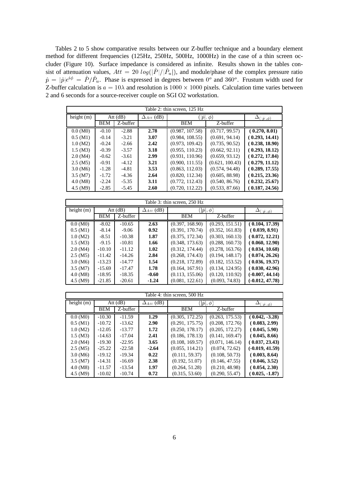Tables 2 to 5 show comparative results between our Z-buffer technique and a boundary element method for different frequencies (125Hz, 250Hz, 500Hz, 1000Hz) in the case of a thin screen occluder (Figure 10). Surface impedance is considered as infinite. Results shown in the tables consist of attenuation values,  $Att = 20 log(|P|/|P_u|)$ , and module/phase of the complex pressure ratio  $\hat{p} = |\hat{p}|e^{i\phi} = P/P_u$ . Phase is expressed in degrees between 0<sup>o</sup> and 360<sup>o</sup>. Frustum width used for Z-buffer calculation is  $a = 10\lambda$  and resolution is  $1000 \times 1000$  pixels. Calculation time varies between 2 and 6 seconds for a source-receiver couple on SGI O2 workstation.

| Table 2: thin screen, 125 Hz |            |            |                     |                    |                 |                          |  |
|------------------------------|------------|------------|---------------------|--------------------|-----------------|--------------------------|--|
| height (m)                   |            | Att $(dB)$ | $\Delta_{Att}$ (dB) | $ \hat{p} , \phi)$ |                 | $\Delta( \hat{p} ,\phi)$ |  |
|                              | <b>BEM</b> | Z-buffer   |                     | <b>BEM</b>         | Z-buffer        |                          |  |
| $0.0 \ (M0)$                 | $-0.10$    | $-2.88$    | 2.78                | (0.987, 107.58)    | (0.717, 99.57)  | (0.270, 8.01)            |  |
| 0.5(M1)                      | $-0.14$    | $-3.21$    | 3.07                | (0.984, 108.55)    | (0.691, 94.14)  | (0.293, 14.41)           |  |
| 1.0(M2)                      | $-0.24$    | $-2.66$    | 2.42                | (0.973, 109.42)    | (0.735, 90.52)  | (0.238, 18.90)           |  |
| $1.5 \,(M3)$                 | $-0.39$    | $-3.57$    | 3.18                | (0.955, 110.23)    | (0.662, 92.11)  | (0.293, 18.12)           |  |
| 2.0(M4)                      | $-0.62$    | $-3.61$    | 2.99                | (0.931, 110.96)    | (0.659, 93.12)  | (0.272, 17.84)           |  |
| $2.5 \,(M5)$                 | $-0.91$    | $-4.12$    | 3.21                | (0.900, 111.55)    | (0.621, 100.43) | (0.279, 11.12)           |  |
| $3.0 \,(M6)$                 | $-1.28$    | $-4.81$    | 3.53                | (0.863, 112.03)    | (0.574, 94.48)  | (0.289, 17.55)           |  |
| $3.5 \, (M7)$                | $-1.72$    | $-4.36$    | 2.64                | (0.820, 112.34)    | (0.605, 88.98)  | (0.215, 23.36)           |  |
| $4.0 \ (M8)$                 | $-2.24$    | $-5.35$    | 3.11                | (0.772, 112.43)    | (0.540, 86.76)  | (0.232, 25.67)           |  |
| $4.5 \,(M9)$                 | $-2.85$    | $-5.45$    | 2.60                | (0.720, 112.22)    | (0.533, 87.66)  | (0.187, 24.56)           |  |

| Table 3: thin screen, 250 Hz |            |          |                     |                    |                 |                          |
|------------------------------|------------|----------|---------------------|--------------------|-----------------|--------------------------|
| height $(m)$                 | Att $(dB)$ |          | $\Delta_{Att}$ (dB) | $ \hat{p} , \phi)$ |                 | $\Delta( \hat{p} ,\phi)$ |
|                              | <b>BEM</b> | Z-buffer |                     | <b>BEM</b>         | Z-buffer        |                          |
| $0.0 \ (M0)$                 | $-8.02$    | $-10.65$ | 2.63                | (0.397, 168.90)    | (0.293, 151.51) | (0.104, 17.39)           |
| $0.5$ (M1)                   | $-8.14$    | $-9.06$  | 0.92                | (0.391, 170.74)    | (0.352, 161.83) | (0.039, 8.91)            |
| 1.0(M2)                      | $-8.51$    | $-10.38$ | 1.87                | (0.375, 172.34)    | (0.303, 160.13) | (0.072, 12.21)           |
| 1.5(M3)                      | $-9.15$    | $-10.81$ | 1.66                | (0.348, 173.63)    | (0.288, 160.73) | (0.060, 12.90)           |
| 2.0(M4)                      | $-10.10$   | $-11.12$ | 1.02                | (0.312, 174.44)    | (0.278, 163.76) | (0.034, 10.68)           |
| $2.5 \,(M5)$                 | $-11.42$   | $-14.26$ | 2.84                | (0.268, 174.43)    | (0.194, 148.17) | (0.074, 26.26)           |
| 3.0(M6)                      | $-13.23$   | $-14.77$ | 1.54                | (0.218, 172.89)    | (0.182, 153.52) | (0.036, 19.37)           |
| 3.5 (M7)                     | $-15.69$   | $-17.47$ | 1.78                | (0.164, 167.91)    | (0.134, 124.95) | (0.030, 42.96)           |
| $4.0 \,(M8)$                 | $-18.95$   | $-18.35$ | $-0.60$             | (0.113, 155.06)    | (0.120, 110.92) | $(-0.007, 44.14)$        |
| $4.5 \,(M9)$                 | $-21.85$   | $-20.61$ | $-1.24$             | (0.081, 122.61)    | (0.093, 74.83)  | $(-0.012, 47.78)$        |

| Table 4: thin screen, 500 Hz |            |          |                     |                    |                 |                          |
|------------------------------|------------|----------|---------------------|--------------------|-----------------|--------------------------|
| height $(m)$                 | Att $(dB)$ |          | $\Delta_{Att}$ (dB) | $ \hat{p} , \phi)$ |                 | $\Delta( \hat{p} ,\phi)$ |
|                              | <b>BEM</b> | Z-buffer |                     | <b>BEM</b>         | Z-buffer        |                          |
| 0.0 (M0)                     | $-10.30$   | $-11.59$ | 1.29                | (0.305, 172.25)    | (0.263, 175.53) | $(0.042, -3.28)$         |
| $0.5$ (M1)                   | $-10.72$   | $-13.62$ | 2.90                | (0.291, 175.75)    | (0.208, 172.76) | (0.083, 2.99)            |
| 1.0(M2)                      | $-12.05$   | $-13.77$ | 1.72                | (0.250, 178.17)    | (0.205, 172.27) | (0.045, 5.90)            |
| 1.5(M3)                      | $-14.63$   | $-17.04$ | 2.41                | (0.186, 178.13)    | (0.141, 169.47) | (0.045, 8.66)            |
| 2.0(M4)                      | $-19.30$   | $-22.95$ | 3.65                | (0.108, 169.57)    | (0.071, 146.14) | (0.037, 23.43)           |
| $2.5 \,(M5)$                 | $-25.22$   | $-22.58$ | $-2.64$             | (0.055, 114.21)    | (0.074, 72.62)  | $(-0.019, 41.59)$        |
| 3.0(M6)                      | $-19.12$   | $-19.34$ | 0.22                | (0.111, 59.37)     | (0.108, 50.73)  | (0.003, 8.64)            |
| 3.5 (M7)                     | $-14.31$   | $-16.69$ | 2.38                | (0.192, 51.07)     | (0.146, 47.55)  | (0.046, 3.52)            |
| $4.0 \,(M8)$                 | $-11.57$   | $-13.54$ | 1.97                | (0.264, 51.28)     | (0.210, 48.98)  | (0.054, 2.30)            |
| $4.5 \,(M9)$                 | $-10.02$   | $-10.74$ | 0.72                | (0.315, 53.60)     | (0.290, 55.47)  | $(0.025, -1.87)$         |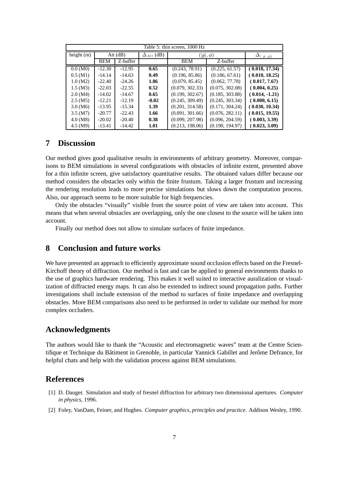| Table 5: thin screen, 1000 Hz |            |            |                     |                    |                 |                          |  |
|-------------------------------|------------|------------|---------------------|--------------------|-----------------|--------------------------|--|
| height $(m)$                  |            | Att $(dB)$ | $\Delta_{Att}$ (dB) | $ \hat{p} , \phi)$ |                 | $\Delta( \hat{p} ,\phi)$ |  |
|                               | <b>BEM</b> | Z-buffer   |                     | <b>BEM</b>         | Z-buffer        |                          |  |
| $0.0 \ (M0)$                  | $-12.30$   | $-12.95$   | 0.65                | (0.243, 78.91)     | (0.225, 61.57)  | (0.018, 17.34)           |  |
| 0.5(M1)                       | $-14.14$   | $-14.63$   | 0.49                | (0.196, 85.86)     | (0.186, 67.61)  | (0.010, 18.25)           |  |
| 1.0(M2)                       | $-22.40$   | $-24.26$   | 1.86                | (0.079, 85.45)     | (0.062, 77.78)  | (0.017, 7.67)            |  |
| $1.5 \,(M3)$                  | $-22.03$   | $-22.55$   | 0.52                | (0.079, 302.33)    | (0.075, 302.08) | (0.004, 0.25)            |  |
| 2.0(M4)                       | $-14.02$   | $-14.67$   | 0.65                | (0.199, 302.67)    | (0.185, 303.88) | $(0.014, -1.21)$         |  |
| $2.5 \,(M5)$                  | $-12.21$   | $-12.19$   | $-0.02$             | (0.245, 309.49)    | (0.245, 303.34) | (0.000, 6.15)            |  |
| 3.0(M6)                       | $-13.95$   | $-15.34$   | 1.39                | (0.201, 314.58)    | (0.171, 304.24) | (0.030, 10.34)           |  |
| $3.5 \, (M7)$                 | $-20.77$   | $-22.43$   | 1.66                | (0.091, 301.66)    | (0.076, 282.11) | (0.015, 19.55)           |  |
| $4.0 \,(M8)$                  | $-20.02$   | $-20.40$   | 0.38                | (0.099, 207.98)    | (0.096, 204.59) | (0.003, 3.39)            |  |
| $4.5 \,(M9)$                  | $-13.41$   | $-14.42$   | 1.01                | (0.213, 198.06)    | (0.190, 194.97) | (0.023, 3.09)            |  |

## **7 Discussion**

Our method gives good qualitative results in environments of arbitrary geometry. Moreover, comparisons to BEM simulations in several configurations with obstacles of infinite extent, presented above for a thin infinite screen, give satisfactory quantitative results. The obtained values differ because our method considers the obstacles only within the finite frustum. Taking a larger frustum and increasing the rendering resolution leads to more precise simulations but slows down the computation process. Also, our approach seems to be more suitable for high frequencies.

Only the obstacles "visually" visible from the source point of view are taken into account. This means that when several obstacles are overlapping, only the one closest to the source will be taken into account.

Finally our method does not allow to simulate surfaces of finite impedance.

## **8 Conclusion and future works**

We have presented an approach to efficiently approximate sound occlusion effects based on the Fresnel-Kirchoff theory of diffraction. Our method is fast and can be applied to general environments thanks to the use of graphics hardware rendering. This makes it well suited to interactive auralization or visualization of diffracted energy maps. It can also be extended to indirect sound propagation paths. Further investigations shall include extension of the method to surfaces of finite impedance and overlapping obstacles. More BEM comparisons also need to be performed in order to validate our method for more complex occluders.

## **Acknowledgments**

The authors would like to thank the "Acoustic and electromagnetic waves" team at the Centre Scientifique et Technique du Bâtiment in Grenoble, in particular Yannick Gabillet and Jerôme Defrance, for helpful chats and help with the validation process against BEM simulations.

## **References**

- [1] D. Dauger. Simulation and study of fresnel diffraction for arbitrary two dimensional apertures. *Computer in physics*, 1996.
- [2] Foley, VanDam, Feiner, and Hughes. *Computer graphics, principles and practice*. Addison Wesley, 1990.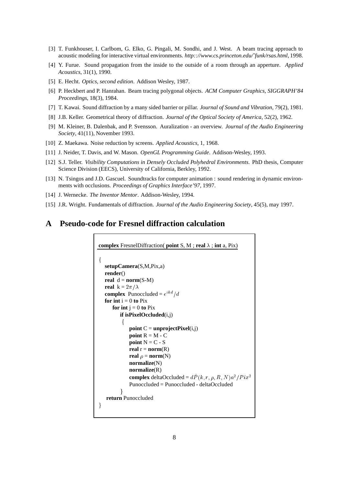- [3] T. Funkhouser, I. Carlbom, G. Elko, G. Pingali, M. Sondhi, and J. West. A beam tracing approach to acoustic modeling for interactive virtual environments. *http:://www.cs.princeton.edu/˜funk/rsas.html*, 1998.
- [4] Y. Furue. Sound propagation from the inside to the outside of a room through an apperture. *Applied Acoustics*, 31(1), 1990.
- [5] E. Hecht. *Optics, second edition*. Addison Wesley, 1987.
- [6] P. Heckbert and P. Hanrahan. Beam tracing polygonal objects. *ACM Computer Graphics, SIGGRAPH'84 Proceedings*, 18(3), 1984.
- [7] T. Kawai. Sound diffraction by a many sided barrier or pillar. *Journal of Sound and Vibration*, 79(2), 1981.
- [8] J.B. Keller. Geometrical theory of diffraction. *Journal of the Optical Society of America*, 52(2), 1962.
- [9] M. Kleiner, B. Dalenbak, and P. Svensson. Auralization an overview. *Journal of the Audio Engineering Society*, 41(11), November 1993.
- [10] Z. Maekawa. Noise reduction by screens. *Applied Acoustics*, 1, 1968.
- [11] J. Neider, T. Davis, and W. Mason. *OpenGL Programming Guide*. Addison-Wesley, 1993.
- [12] S.J. Teller. *Visibility Computations in Densely Occluded Polyhedral Environments*. PhD thesis, Computer Science Division (EECS), University of California, Berkley, 1992.
- [13] N. Tsingos and J.D. Gascuel. Soundtracks for computer animation : sound rendering in dynamic environments with occlusions. *Proceedings of Graphics Interface'97*, 1997.
- [14] J. Wernecke. *The Inventor Mentor*. Addison-Wesley, 1994.
- [15] J.R. Wright. Fundamentals of diffraction. *Journal of the Audio Engineering Society*, 45(5), may 1997.

## **A Pseudo-code for Fresnel diffraction calculation**

```
complex FresnelDiffraction( point S, M; real \lambda; int a, Pix)
fsetupCamera(S,M,Pix,a)
  render()
  real d = norm(S-M)real k = 2\pi/\lambdacomplex Punoccluded = e^{ikd}/dfor int i = 0 to Pix
     for int j = 0 to Pix
         if isPixelOccluded(i,j)
         fpoint C = unprojectPixel(i,j)point R = M - Cpoint N = C - Sreal r = norm(R)real \rho = \textbf{norm}(N)normalize(N)
             normalize(R)
             complex deltaOccluded = dP(k, r, \rho, R, N)a^2/Pix^2Punoccluded = Punoccluded - deltaOccluded
         greturn Punoccluded
g
```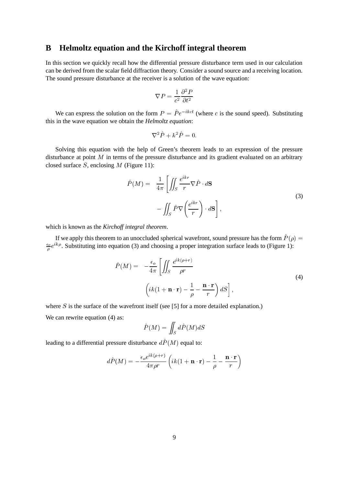# **B Helmoltz equation and the Kirchoff integral theorem**

In this section we quickly recall how the differential pressure disturbance term used in our calculation can be derived from the scalar field diffraction theory. Consider a sound source and a receiving location. The sound pressure disturbance at the receiver is a solution of the wave equation:

$$
\nabla P = \frac{1}{c^2} \frac{\partial^2 P}{\partial t^2}
$$

We can express the solution on the form  $P = \hat{P} e^{-ikct}$  (where c is the sound speed). Substituting this in the wave equation we obtain the *Helmoltz equation*:

$$
\nabla^2 \hat{P} + k^2 \hat{P} = 0.
$$

Solving this equation with the help of Green's theorem leads to an expression of the pressure disturbance at point  $M$  in terms of the pressure disturbance and its gradient evaluated on an arbitrary closed surface  $S$ , enclosing  $M$  (Figure 11):

$$
\hat{P}(M) = \frac{1}{4\pi} \left[ \iint_{S} \frac{e^{ikr}}{r} \nabla \hat{P} \cdot d\mathbf{S} \right] - \iint_{S} \hat{P} \nabla \left( \frac{e^{ikr}}{r} \right) \cdot d\mathbf{S} \right],
$$
\n(3)

which is known as the *Kirchoff integral theorem*.

If we apply this theorem to an unoccluded spherical wavefront, sound pressure has the form  $P(\rho) =$  $\frac{\epsilon_0}{\rho}e^{ik\rho}$ . Substituting into equation (3) and choosing a proper integration surface leads to (Figure 1):

$$
\hat{P}(M) = -\frac{\epsilon_o}{4\pi} \left[ \iint_S \frac{e^{ik(\rho+r)}}{\rho r} \n\left( ik(1+\mathbf{n}\cdot\mathbf{r}) - \frac{1}{\rho} - \frac{\mathbf{n}\cdot\mathbf{r}}{r} \right) dS \right],
$$
\n(4)

where  $S$  is the surface of the wavefront itself (see [5] for a more detailed explanation.) We can rewrite equation  $(4)$  as:

$$
\hat{P}(M) = \iint_{S} d\hat{P}(M) dS
$$

leading to a differential pressure disturbance  $dP(M)$  equal to:

$$
d\hat{P}(M) = -\frac{\epsilon_0 e^{ik(\rho+r)}}{4\pi \rho r} \left( ik(1+\mathbf{n} \cdot \mathbf{r}) - \frac{1}{\rho} - \frac{\mathbf{n} \cdot \mathbf{r}}{r} \right)
$$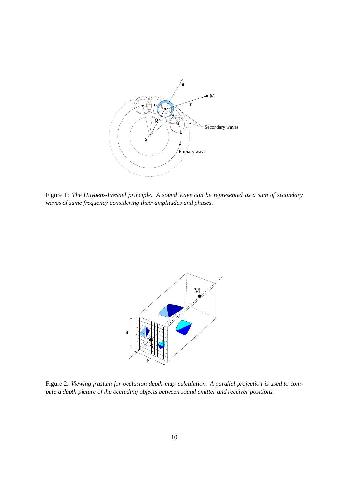

Figure 1: *The Huygens-Fresnel principle. A sound wave can be represented as a sum of secondary waves of same frequency considering their amplitudes and phases.*



Figure 2: *Viewing frustum for occlusion depth-map calculation. A parallel projection is used to compute a depth picture of the occluding objects between sound emitter and receiver positions.*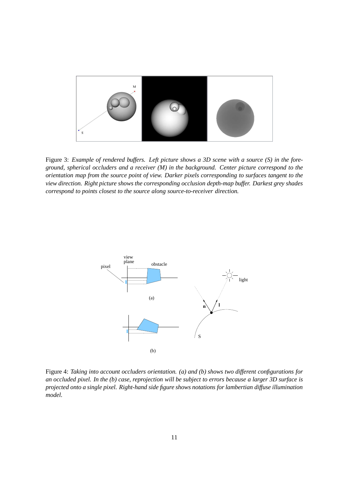

Figure 3: *Example of rendered buffers. Left picture shows a 3D scene with a source (S) in the foreground, spherical occluders and a receiver (M) in the background. Center picture correspond to the orientation map from the source point of view. Darker pixels corresponding to surfaces tangent to the view direction. Right picture shows the corresponding occlusion depth-map buffer. Darkest grey shades correspond to points closest to the source along source-to-receiver direction.*



Figure 4: *Taking into account occluders orientation. (a) and (b) shows two different configurations for an occluded pixel. In the (b) case, reprojection will be subject to errors because a larger 3D surface is projected onto a single pixel. Right-hand side figure shows notations for lambertian diffuse illumination model.*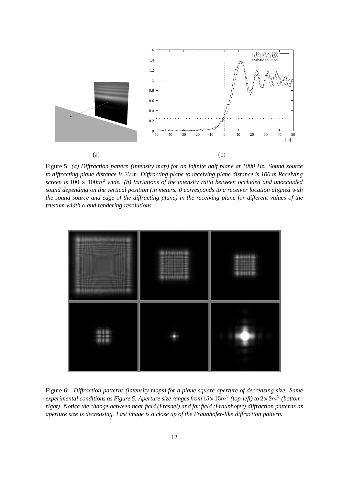

Figure 5: *(a) Diffraction pattern (intensity map) for an infinite half plane at 1000 Hz. Sound source to diffracting plane distance is 20 m. Diffracting plane to receiving plane distance is 100 m.Receiving* screen is  $100 \times 100m^2$  wide. (b) Variations of the intensity ratio between occluded and unoccluded *sound depending on the vertical position (in meters. 0 corresponds to a receiver location aligned with the sound source and edge of the diffracting plane) in the receiving plane for different values of the frustum width* a *and rendering resolutions.*



Figure 6: *Diffraction patterns (intensity maps) for a plane square aperture of decreasing size. Same* experimental conditions as Figure 5. Aperture size ranges from  $15\!\times\!15m^2$  (top-left) to  $2\!\times\!2m^2$  (bottom*right). Notice the change between near field (Fresnel) and far field (Fraunhofer) diffraction patterns as aperture size is decreasing. Last image is a close up of the Fraunhofer-like diffraction pattern.*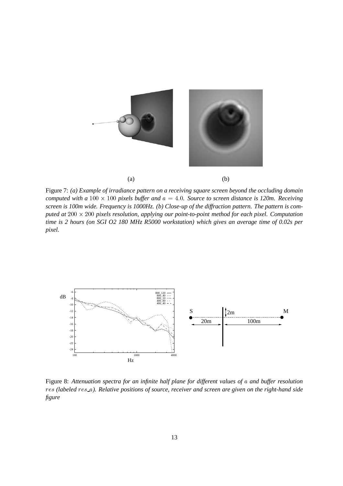

Figure 7: *(a) Example of irradiance pattern on a receiving square screen beyond the occluding domain computed with a*  $100 \times 100$  pixels buffer and  $a = 4.0$ . Source to screen distance is 120m. Receiving *screen is 100m wide. Frequency is 1000Hz. (b) Close-up of the diffraction pattern. The pattern is com*puted at 200  $\times$  200 pixels resolution, applying our point-to-point method for each pixel. Computation *time is 2 hours (on SGI O2 180 MHz R5000 workstation) which gives an average time of 0.02s per pixel.*



Figure 8: *Attenuation spectra for an infinite half plane for different values of* a *and buffer resolution* res *(labeled* res a*). Relative positions of source, receiver and screen are given on the right-hand side figure*